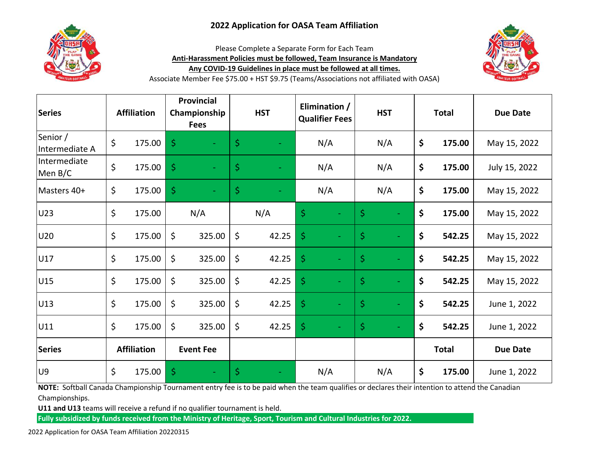## **2022 Application for OASA Team Affiliation**



Please Complete a Separate Form for Each Team **Anti-Harassment Policies must be followed, Team Insurance is Mandatory Any COVID-19 Guidelines in place must be followed at all times.**



Associate Member Fee \$75.00 + HST \$9.75 (Teams/Associations not affiliated with OASA)

| <b>Series</b>              | <b>Affiliation</b> |        | <b>Provincial</b><br>Championship<br><b>Fees</b> |        | <b>HST</b>          |       | Elimination /<br><b>Qualifier Fees</b> |     | <b>HST</b>          |     | <b>Total</b> |              | <b>Due Date</b> |
|----------------------------|--------------------|--------|--------------------------------------------------|--------|---------------------|-------|----------------------------------------|-----|---------------------|-----|--------------|--------------|-----------------|
| Senior /<br>Intermediate A | \$                 | 175.00 | \$                                               |        | $\ddot{\varsigma}$  |       |                                        | N/A |                     | N/A | \$           | 175.00       | May 15, 2022    |
| Intermediate<br>Men B/C    | \$                 | 175.00 | \$                                               |        | $\ddot{\mathsf{S}}$ |       |                                        | N/A |                     | N/A | \$           | 175.00       | July 15, 2022   |
| Masters 40+                | \$                 | 175.00 | \$                                               |        | $\ddot{\varsigma}$  |       |                                        | N/A |                     | N/A | \$           | 175.00       | May 15, 2022    |
| U23                        | \$                 | 175.00 |                                                  | N/A    |                     | N/A   | \$                                     |     | \$                  |     | \$           | 175.00       | May 15, 2022    |
| U20                        | \$                 | 175.00 | \$                                               | 325.00 | \$                  | 42.25 | \$                                     |     | \$                  |     | \$           | 542.25       | May 15, 2022    |
| U17                        | \$                 | 175.00 | \$                                               | 325.00 | \$                  | 42.25 | $\dot{\mathsf{S}}$                     |     | $\varsigma$         |     | \$           | 542.25       | May 15, 2022    |
| U15                        | \$                 | 175.00 | \$                                               | 325.00 | \$                  | 42.25 | $\dot{\mathsf{S}}$                     |     | $\ddot{\varsigma}$  |     | \$           | 542.25       | May 15, 2022    |
| U13                        | \$                 | 175.00 | \$                                               | 325.00 | \$                  | 42.25 | \$                                     |     | $\ddot{\mathsf{S}}$ |     | \$           | 542.25       | June 1, 2022    |
| U11                        | \$                 | 175.00 | \$                                               | 325.00 | \$                  | 42.25 | \$                                     |     | $\ddot{\mathsf{S}}$ |     | \$           | 542.25       | June 1, 2022    |
| <b>Series</b>              | <b>Affiliation</b> |        | <b>Event Fee</b>                                 |        |                     |       |                                        |     |                     |     |              | <b>Total</b> | <b>Due Date</b> |
| U9                         | \$                 | 175.00 | \$                                               |        | \$                  |       |                                        | N/A |                     | N/A | \$           | 175.00       | June 1, 2022    |

**NOTE:** Softball Canada Championship Tournament entry fee is to be paid when the team qualifies or declares their intention to attend the Canadian Championships.

**U11 and U13** teams will receive a refund if no qualifier tournament is held.

**Fully subsidized by funds received from the Ministry of Heritage, Sport, Tourism and Cultural Industries for 2022.**